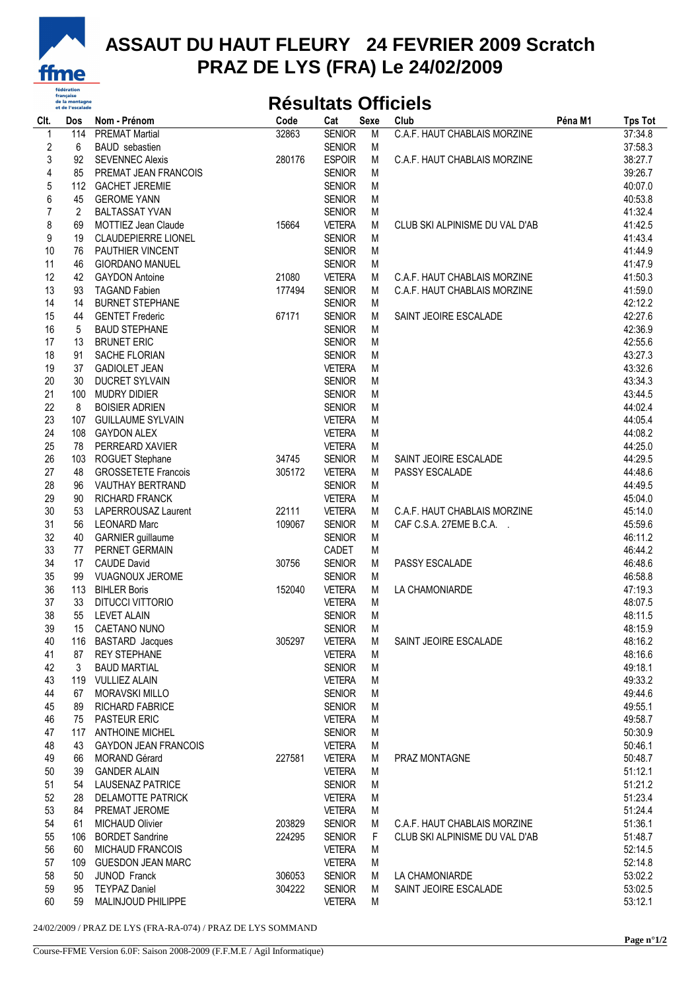

## **ASSAUT DU HAUT FLEURY 24 FEVRIER 2009 Scratch PRAZ DE LYS (FRA) Le 24/02/2009**

## **Résultats Officiels**

| Clt.             | Dos            | Nom - Prénom                | Code   | Cat           | <b>Sexe</b> | Club                           | Péna M1 | <b>Tps Tot</b> |
|------------------|----------------|-----------------------------|--------|---------------|-------------|--------------------------------|---------|----------------|
| $\mathbf 1$      | 114            | <b>PREMAT Martial</b>       | 32863  | <b>SENIOR</b> | M           | C.A.F. HAUT CHABLAIS MORZINE   |         | 37:34.8        |
| $\boldsymbol{2}$ | 6              | <b>BAUD</b> sebastien       |        | <b>SENIOR</b> | M           |                                |         | 37:58.3        |
| 3                | 92             | <b>SEVENNEC Alexis</b>      | 280176 | <b>ESPOIR</b> | M           | C.A.F. HAUT CHABLAIS MORZINE   |         | 38:27.7        |
| $\sqrt{4}$       | 85             | PREMAT JEAN FRANCOIS        |        | <b>SENIOR</b> | M           |                                |         | 39:26.7        |
| 5                |                | 112 GACHET JEREMIE          |        | <b>SENIOR</b> | M           |                                |         | 40:07.0        |
| 6                | 45             | <b>GEROME YANN</b>          |        | <b>SENIOR</b> | M           |                                |         | 40:53.8        |
| $\overline{7}$   | $\overline{2}$ | <b>BALTASSAT YVAN</b>       |        | <b>SENIOR</b> | M           |                                |         | 41:32.4        |
|                  |                |                             |        |               |             |                                |         |                |
| 8                | 69             | MOTTIEZ Jean Claude         | 15664  | <b>VETERA</b> | M           | CLUB SKI ALPINISME DU VAL D'AB |         | 41:42.5        |
| 9                | 19             | <b>CLAUDEPIERRE LIONEL</b>  |        | <b>SENIOR</b> | M           |                                |         | 41:43.4        |
| 10               | 76             | PAUTHIER VINCENT            |        | <b>SENIOR</b> | M           |                                |         | 41:44.9        |
| 11               | 46             | <b>GIORDANO MANUEL</b>      |        | <b>SENIOR</b> | M           |                                |         | 41:47.9        |
| 12               | 42             | <b>GAYDON Antoine</b>       | 21080  | <b>VETERA</b> | M           | C.A.F. HAUT CHABLAIS MORZINE   |         | 41:50.3        |
| 13               | 93             | <b>TAGAND Fabien</b>        | 177494 | <b>SENIOR</b> | M           | C.A.F. HAUT CHABLAIS MORZINE   |         | 41:59.0        |
| 14               | 14             | <b>BURNET STEPHANE</b>      |        | <b>SENIOR</b> | м           |                                |         | 42:12.2        |
| 15               | 44             | <b>GENTET Frederic</b>      | 67171  | <b>SENIOR</b> | M           | SAINT JEOIRE ESCALADE          |         | 42:27.6        |
| 16               | 5              | <b>BAUD STEPHANE</b>        |        | <b>SENIOR</b> | M           |                                |         | 42:36.9        |
| 17               | 13             | <b>BRUNET ERIC</b>          |        | <b>SENIOR</b> | M           |                                |         | 42:55.6        |
| 18               | 91             | SACHE FLORIAN               |        | <b>SENIOR</b> | M           |                                |         | 43:27.3        |
| 19               | 37             | <b>GADIOLET JEAN</b>        |        | <b>VETERA</b> | M           |                                |         | 43:32.6        |
| 20               |                |                             |        | <b>SENIOR</b> |             |                                |         | 43:34.3        |
|                  | 30             | DUCRET SYLVAIN              |        |               | M           |                                |         |                |
| 21               | 100            | <b>MUDRY DIDIER</b>         |        | <b>SENIOR</b> | M           |                                |         | 43:44.5        |
| 22               | 8              | <b>BOISIER ADRIEN</b>       |        | <b>SENIOR</b> | M           |                                |         | 44:02.4        |
| 23               |                | 107 GUILLAUME SYLVAIN       |        | <b>VETERA</b> | M           |                                |         | 44:05.4        |
| 24               |                | 108 GAYDON ALEX             |        | <b>VETERA</b> | M           |                                |         | 44:08.2        |
| 25               | 78             | PERREARD XAVIER             |        | <b>VETERA</b> | M           |                                |         | 44:25.0        |
| 26               | 103            | ROGUET Stephane             | 34745  | <b>SENIOR</b> | M           | SAINT JEOIRE ESCALADE          |         | 44:29.5        |
| 27               | 48             | <b>GROSSETETE Francois</b>  | 305172 | <b>VETERA</b> | M           | PASSY ESCALADE                 |         | 44:48.6        |
| 28               | 96             | VAUTHAY BERTRAND            |        | <b>SENIOR</b> | M           |                                |         | 44:49.5        |
| 29               | 90             | RICHARD FRANCK              |        | <b>VETERA</b> | M           |                                |         | 45:04.0        |
| 30               | 53             | LAPERROUSAZ Laurent         | 22111  | <b>VETERA</b> | м           | C.A.F. HAUT CHABLAIS MORZINE   |         | 45:14.0        |
| 31               | 56             | <b>LEONARD Marc</b>         | 109067 | <b>SENIOR</b> | M           | CAF C.S.A. 27EME B.C.A.        |         | 45:59.6        |
| 32               | 40             |                             |        | <b>SENIOR</b> | M           |                                |         | 46:11.2        |
| 33               |                | <b>GARNIER</b> guillaume    |        |               |             |                                |         | 46:44.2        |
|                  | 77             | PERNET GERMAIN              |        | CADET         | M           |                                |         |                |
| 34               | 17             | <b>CAUDE David</b>          | 30756  | <b>SENIOR</b> | M           | PASSY ESCALADE                 |         | 46:48.6        |
| 35               | 99             | <b>VUAGNOUX JEROME</b>      |        | <b>SENIOR</b> | M           |                                |         | 46:58.8        |
| 36               | 113            | <b>BIHLER Boris</b>         | 152040 | <b>VETERA</b> | M           | LA CHAMONIARDE                 |         | 47:19.3        |
| 37               | 33             | DITUCCI VITTORIO            |        | <b>VETERA</b> | M           |                                |         | 48:07.5        |
| 38               | 55             | <b>LEVET ALAIN</b>          |        | <b>SENIOR</b> | M           |                                |         | 48:11.5        |
| 39               | 15             | <b>CAETANO NUNO</b>         |        | <b>SENIOR</b> | M           |                                |         | 48:15.9        |
| 40               |                | 116 BASTARD Jacques         | 305297 | <b>VETERA</b> | M           | SAINT JEOIRE ESCALADE          |         | 48:16.2        |
| 41               | 87             | <b>REY STEPHANE</b>         |        | <b>VETERA</b> | M           |                                |         | 48:16.6        |
| 42               | 3              | <b>BAUD MARTIAL</b>         |        | <b>SENIOR</b> | M           |                                |         | 49:18.1        |
| 43               |                | 119 VULLIEZ ALAIN           |        | <b>VETERA</b> | M           |                                |         | 49:33.2        |
| 44               | 67             | <b>MORAVSKI MILLO</b>       |        | <b>SENIOR</b> | M           |                                |         | 49:44.6        |
| 45               | 89             | <b>RICHARD FABRICE</b>      |        | <b>SENIOR</b> | M           |                                |         | 49:55.1        |
| 46               | 75             | <b>PASTEUR ERIC</b>         |        | <b>VETERA</b> | M           |                                |         | 49:58.7        |
|                  |                | <b>ANTHOINE MICHEL</b>      |        | <b>SENIOR</b> |             |                                |         |                |
| 47               | 117            |                             |        |               | M           |                                |         | 50:30.9        |
| 48               | 43             | <b>GAYDON JEAN FRANCOIS</b> |        | <b>VETERA</b> | M           |                                |         | 50:46.1        |
| 49               | 66             | <b>MORAND Gérard</b>        | 227581 | <b>VETERA</b> | M           | PRAZ MONTAGNE                  |         | 50:48.7        |
| 50               | 39             | <b>GANDER ALAIN</b>         |        | <b>VETERA</b> | M           |                                |         | 51:12.1        |
| 51               | 54             | LAUSENAZ PATRICE            |        | <b>SENIOR</b> | M           |                                |         | 51:21.2        |
| 52               | 28             | <b>DELAMOTTE PATRICK</b>    |        | <b>VETERA</b> | M           |                                |         | 51:23.4        |
| 53               | 84             | PREMAT JEROME               |        | <b>VETERA</b> | M           |                                |         | 51:24.4        |
| 54               | 61             | <b>MICHAUD Olivier</b>      | 203829 | <b>SENIOR</b> | M           | C.A.F. HAUT CHABLAIS MORZINE   |         | 51:36.1        |
| 55               | 106            | <b>BORDET Sandrine</b>      | 224295 | <b>SENIOR</b> | F           | CLUB SKI ALPINISME DU VAL D'AB |         | 51:48.7        |
| 56               | 60             | <b>MICHAUD FRANCOIS</b>     |        | <b>VETERA</b> | M           |                                |         | 52:14.5        |
| 57               | 109            | <b>GUESDON JEAN MARC</b>    |        | <b>VETERA</b> | M           |                                |         | 52:14.8        |
| 58               | 50             | <b>JUNOD Franck</b>         | 306053 | <b>SENIOR</b> | M           | LA CHAMONIARDE                 |         | 53:02.2        |
| 59               | 95             | <b>TEYPAZ Daniel</b>        | 304222 | <b>SENIOR</b> | M           | SAINT JEOIRE ESCALADE          |         | 53:02.5        |
| 60               |                |                             |        |               |             |                                |         |                |
|                  | 59             | MALINJOUD PHILIPPE          |        | <b>VETERA</b> | M           |                                |         | 53:12.1        |

24/02/2009 / PRAZ DE LYS (FRA-RA-074) / PRAZ DE LYS SOMMAND